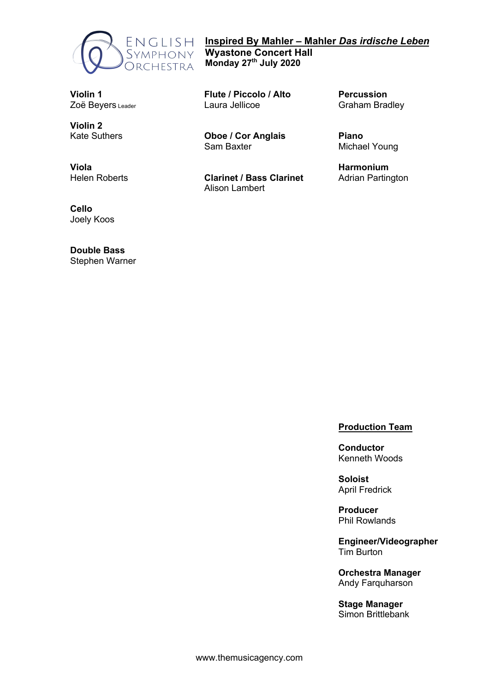

**Inspired By Mahler – Mahler** *Das irdische Leben* **Wyastone Concert Hall Monday 27th July 2020**

**Violin 1** Zoë Bevers Leader

**Violin 2** Kate Suthers

**Viola** Helen Roberts

**Cello**

Joely Koos

**Double Bass** Stephen Warner

**Flute / Piccolo / Alto** Laura Jellicoe

**Oboe / Cor Anglais** Sam Baxter

**Clarinet / Bass Clarinet** Alison Lambert

**Percussion** Graham Bradley

**Piano** Michael Young

**Harmonium** Adrian Partington

# **Production Team**

**Conductor** Kenneth Woods

**Soloist** April Fredrick

**Producer** Phil Rowlands

**Engineer/Videographer** Tim Burton

**Orchestra Manager** Andy Farquharson

**Stage Manager** Simon Brittlebank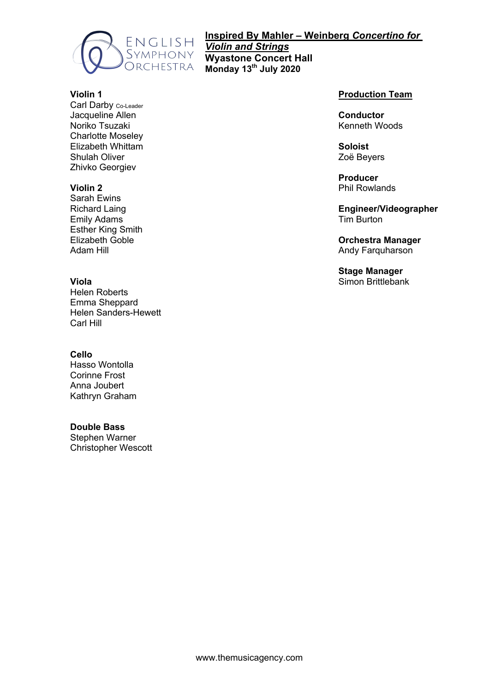

**Inspired By Mahler – Weinberg** *Concertino for Violin and Strings* **Wyastone Concert Hall Monday 13th July 2020**

# **Violin 1**

Carl Darby Co-Leader Jacqueline Allen Noriko Tsuzaki Charlotte Moseley Elizabeth Whittam Shulah Oliver Zhivko Georgiev

## **Violin 2**

Sarah Ewins Richard Laing Emily Adams Esther King Smith Elizabeth Goble Adam Hill

### **Viola**

Helen Roberts Emma Sheppard Helen Sanders-Hewett Carl Hill

### **Cello**

Hasso Wontolla Corinne Frost Anna Joubert Kathryn Graham

## **Double Bass**

Stephen Warner Christopher Wescott

## **Production Team**

**Conductor** Kenneth Woods

**Soloist** Zoë Beyers

**Producer** Phil Rowlands

**Engineer/Videographer** Tim Burton

**Orchestra Manager** Andy Farquharson

**Stage Manager** Simon Brittlebank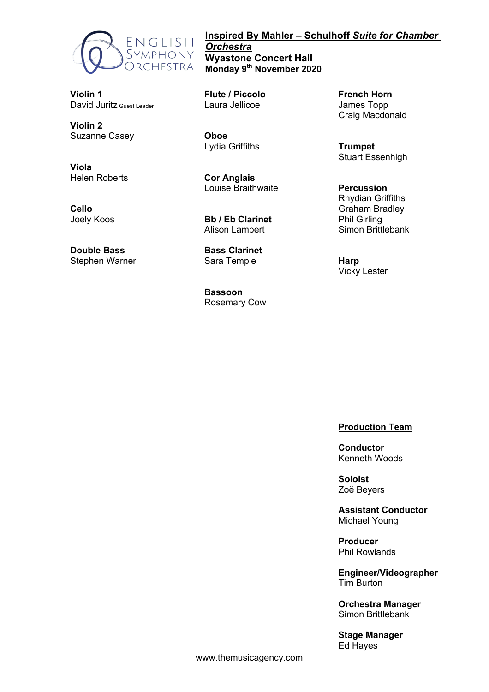

# **Violin 1** David Juritz Guest Leader

**Violin 2** Suzanne Casey

**Viola** Helen Roberts

**Cello** Joely Koos

**Double Bass** Stephen Warner

# **Inspired By Mahler – Schulhoff** *Suite for Chamber Orchestra* **Wyastone Concert Hall Monday 9th November 2020**

**Flute / Piccolo** Laura Jellicoe

**Oboe** Lydia Griffiths

**Cor Anglais** Louise Braithwaite

**Bb / Eb Clarinet** Alison Lambert

**Bass Clarinet** Sara Temple

**Bassoon** Rosemary Cow **French Horn** James Topp Craig Macdonald

**Trumpet** Stuart Essenhigh

**Percussion** Rhydian Griffiths Graham Bradley Phil Girling Simon Brittlebank

**Harp** Vicky Lester

## **Production Team**

**Conductor** Kenneth Woods

**Soloist** Zoë Beyers

**Assistant Conductor** Michael Young

**Producer** Phil Rowlands

**Engineer/Videographer** Tim Burton

**Orchestra Manager** Simon Brittlebank

**Stage Manager** Ed Hayes

www.themusicagency.com